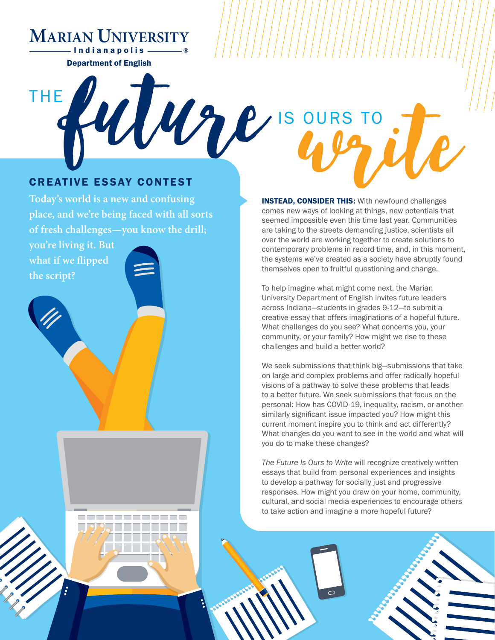**MARIAN UNIVERSITY**

Department of English - Indianapolis -

# **future** CREATIVE ESSAY CONTEST THE IS OURS TO<br> **CEAD, CONSIDER THIS:** With newfound challenges<br>
Bes new ways of looking at things, new potentials that

**Today's world is a new and confusing place, and we're being faced with all sorts of fresh challenges—you know the drill;** 

**you're living it. But what if we flipped the script?**

**INSTEAD, CONSIDER THIS: With newfound challenges** comes new ways of looking at things, new potentials that seemed impossible even this time last year. Communities are taking to the streets demanding justice, scientists all over the world are working together to create solutions to contemporary problems in record time, and, in this moment, the systems we've created as a society have abruptly found themselves open to fruitful questioning and change.

To help imagine what might come next, the Marian University Department of English invites future leaders across Indiana—students in grades 9-12—to submit a creative essay that offers imaginations of a hopeful future. What challenges do you see? What concerns you, your community, or your family? How might we rise to these challenges and build a better world?

We seek submissions that think big—submissions that take on large and complex problems and offer radically hopeful visions of a pathway to solve these problems that leads to a better future. We seek submissions that focus on the personal: How has COVID-19, inequality, racism, or another similarly significant issue impacted you? How might this current moment inspire you to think and act differently? What changes do you want to see in the world and what will you do to make these changes?

*The Future Is Ours to Write* will recognize creatively written essays that build from personal experiences and insights to develop a pathway for socially just and progressive responses. How might you draw on your home, community, cultural, and social media experiences to encourage others to take action and imagine a more hopeful future?

 $\overline{\circ}$